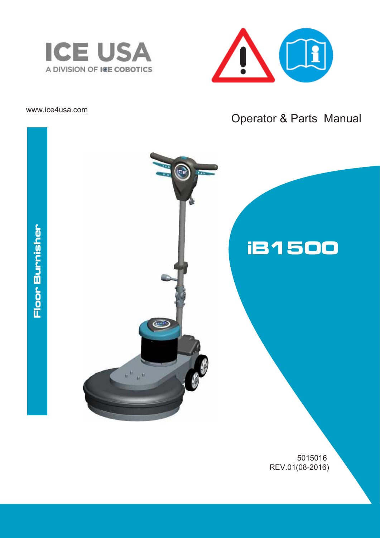



### www.ice4usa.com

# Operator & Parts Manual

# Floor Burnisher



5015016 REV.01(08-2016)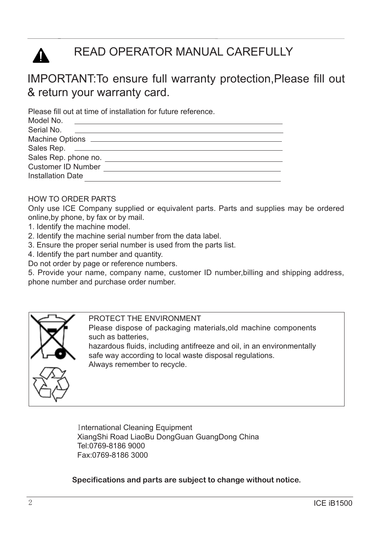

# READ OPERATOR MANUAL CAREFULLY

# IMPORTANT:To ensure full warranty protection,Please fill out & return your warranty card.

Please fill out at time of installation for future reference.

| Model No.                 |  |
|---------------------------|--|
| Serial No.                |  |
|                           |  |
|                           |  |
| Sales Rep. phone no.      |  |
| <b>Customer ID Number</b> |  |
| <b>Installation Date</b>  |  |
|                           |  |

### HOW TO ORDER PARTS

Only use ICE Company supplied or equivalent parts. Parts and supplies may be ordered online,by phone, by fax or by mail.

- 1. Identify the machine model.
- 2. Identify the machine serial number from the data label.
- 3. Ensure the proper serial number is used from the parts list.
- 4. Identify the part number and quantity.

Do not order by page or reference numbers.

5. Provide your name, company name, customer ID number,billing and shipping address, phone number and purchase order number.



PROTECT THE ENVIRONMENT Please dispose of packaging materials,old machine components such as batteries, hazardous fluids, including antifreeze and oil, in an environmentally safe way according to local waste disposal regulations.

Always remember to recycle.

International Cleaning Equipment XiangShi Road LiaoBu DongGuan GuangDong China Tel:0769-8186 9000 Fax:0769-8186 3000

**Specifications and parts are subject to change without notice.**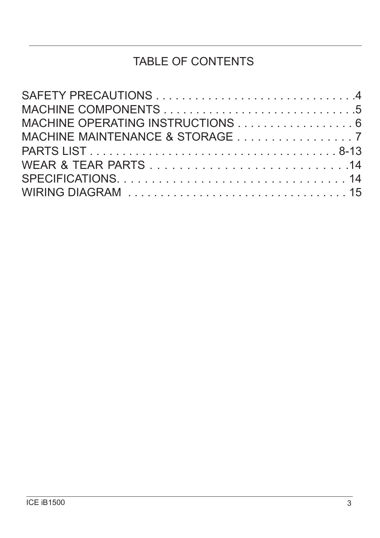# TABLE OF CONTENTS

| MACHINE OPERATING INSTRUCTIONS 6 |  |
|----------------------------------|--|
| MACHINE MAINTENANCE & STORAGE 7  |  |
|                                  |  |
|                                  |  |
|                                  |  |
|                                  |  |
|                                  |  |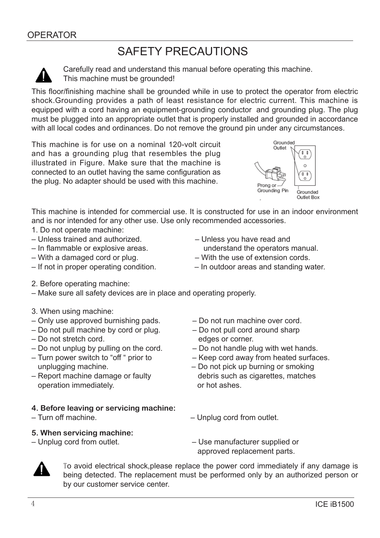# SAFETY PRECAUTIONS



Carefully read and understand this manual before operating this machine. This machine must be grounded!

This floor/finishing machine shall be grounded while in use to protect the operator from electric shock.Grounding provides a path of least resistance for electric current. This machine is equipped with a cord having an equipment-grounding conductor and grounding plug. The plug must be plugged into an appropriate outlet that is properly installed and grounded in accordance with all local codes and ordinances. Do not remove the ground pin under any circumstances.

This machine is for use on a nominal 120-volt circuit and has a grounding plug that resembles the plug illustrated in Figure. Make sure that the machine is connected to an outlet having the same configuration as the plug. No adapter should be used with this machine.



This machine is intended for commercial use. It is constructed for use in an indoor environment and is nor intended for any other use. Use only recommended accessories.

- 1. Do not operate machine:
- Unless trained and authorized. Unless you have read and
- 
- With a damaged cord or plug. With the use of extension cords.
- 
- 2. Before operating machine:
- Make sure all safety devices are in place and operating properly.
- 3. When using machine:
- Only use approved burnishing pads. Do not run machine over cord.
- Do not pull machine by cord or plug. Do not pull cord around sharp
- Do not stretch cord. edges or corner.
- $-$  Do not unplug by pulling on the cord.  $-$  Do not handle plug with wet hands.
- unplugging machine. Do not pick up burning or smoking
- operation immediately. The state of hot ashes.
- **4. Before leaving or servicing machine:**
- 

### **5. When servicing machine:**

- In flammable or explosive areas. understand the operators manual.
	-
- If not in proper operating condition. In outdoor areas and standing water.
	-
	-
	-
- Turn power switch to "off " prior to Keep cord away from heated surfaces.
- Report machine damage or faulty debris such as cigarettes, matches
- Turn off machine. Unplug cord from outlet.
- Unplug cord from outlet. Use manufacturer supplied or approved replacement parts.



To avoid electrical shock,please replace the power cord immediately if any damage is being detected. The replacement must be performed only by an authorized person or by our customer service center.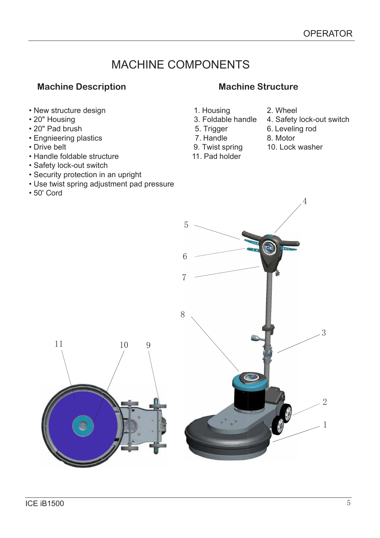# MACHINE COMPONENTS

1. Housing

 5. Trigger 7. Handle 9. Twist spring 11. Pad holder

## **Machine Description Machine Structure**

- New structure design
- 20" Housing
- 20" Pad brush
- Engnieering plastics
- Drive belt
- Handle foldable structure
- Safety lock-out switch
- Security protection in an upright
- Use twist spring adjustment pad pressure
- 50' Cord

- 3. Foldable handle 2. Wheel
	- 4. Safety lock-out switch
	- 6. Leveling rod
	- 8. Motor
	- 10. Lock washer

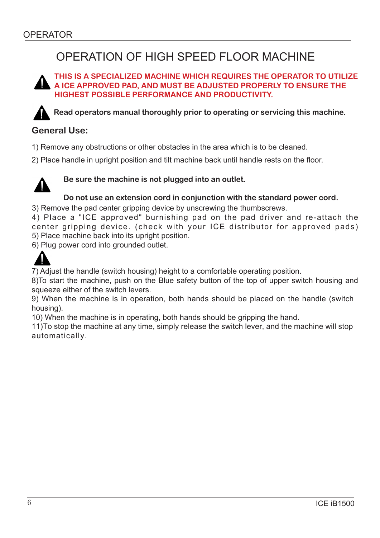# OPERATION OF HIGH SPEED FLOOR MACHINE

### **THIS IS A SPECIALIZED MACHINE WHICH REQUIRES THE OPERATOR TO UTILIZE A ICE APPROVED PAD, AND MUST BE ADJUSTED PROPERLY TO ENSURE THE HIGHEST POSSIBLE PERFORMANCE AND PRODUCTIVITY.**

**Read operators manual thoroughly prior to operating or servicing this machine.** 

### **General Use:**

- 1) Remove any obstructions or other obstacles in the area which is to be cleaned.
- 2) Place handle in upright position and tilt machine back until handle rests on the floor.

![](_page_5_Picture_7.jpeg)

### **Be sure the machine is not plugged into an outlet.**

### **Do not use an extension cord in conjunction with the standard power cord.**

3) Remove the pad center gripping device by unscrewing the thumbscrews.

4) Place a "ICE approved" burnishing pad on the pad driver and re-attach the center gripping device. (check with your ICE distributor for approved pads) 5) Place machine back into its upright position.

6) Plug power cord into grounded outlet.

![](_page_5_Picture_13.jpeg)

7) Adjust the handle (switch housing) height to a comfortable operating position.

8)To start the machine, push on the Blue safety button of the top of upper switch housing and squeeze either of the switch levers.

9) When the machine is in operation, both hands should be placed on the handle (switch housing).

10) When the machine is in operating, both hands should be gripping the hand.

11)To stop the machine at any time, simply release the switch lever, and the machine will stop automatically.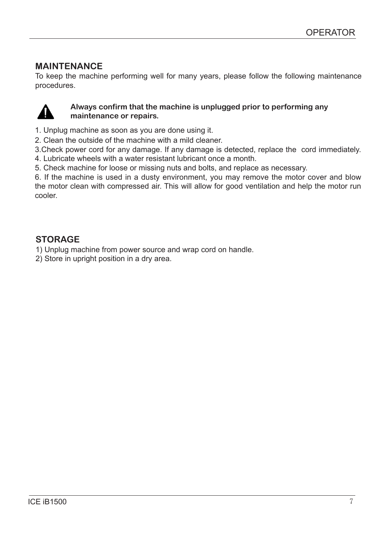### **MAINTENANCE**

To keep the machine performing well for many years, please follow the following maintenance procedures.

![](_page_6_Picture_3.jpeg)

### **Always confirm that the machine is unplugged prior to performing any maintenance or repairs.**

- 1. Unplug machine as soon as you are done using it.
- 2. Clean the outside of the machine with a mild cleaner.

3.Check power cord for any damage. If any damage is detected, replace the cord immediately. 4. Lubricate wheels with a water resistant lubricant once a month.

5. Check machine for loose or missing nuts and bolts, and replace as necessary.

6. If the machine is used in a dusty environment, you may remove the motor cover and blow the motor clean with compressed air. This will allow for good ventilation and help the motor run cooler.

### **STORAGE**

1) Unplug machine from power source and wrap cord on handle.

2) Store in upright position in a dry area.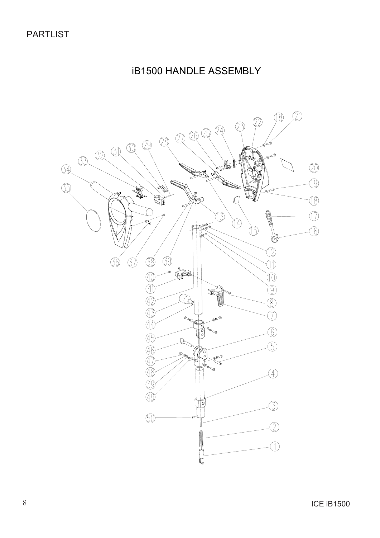# **iB1500 HANDLE ASSEMBLY**

![](_page_7_Figure_2.jpeg)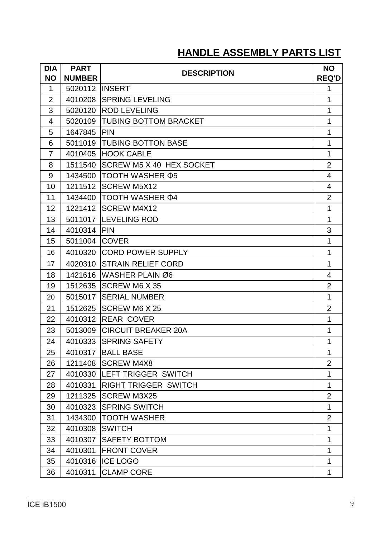# **HANDLE ASSEMBLY PARTS LIST**

| DIA            | <b>PART</b>   | <b>DESCRIPTION</b>           | <b>NO</b>                |
|----------------|---------------|------------------------------|--------------------------|
| <b>NO</b>      | <b>NUMBER</b> |                              | <b>REQ'D</b>             |
| $\mathbf 1$    | 5020112       | <b>INSERT</b>                | 1                        |
| $\overline{2}$ | 4010208       | <b>SPRING LEVELING</b>       | $\mathbf 1$              |
| 3              | 5020120       | <b>ROD LEVELING</b>          | 1                        |
| 4              | 5020109       | <b>TUBING BOTTOM BRACKET</b> | 1                        |
| 5              | 1647845       | <b>IPIN</b>                  | 1                        |
| 6              | 5011019       | <b>TUBING BOTTON BASE</b>    | 1                        |
| $\overline{7}$ | 4010405       | <b>HOOK CABLE</b>            | 1                        |
| 8              | 1511540       | SCREW M5 X 40 HEX SOCKET     | $\overline{2}$           |
| 9              | 1434500       | <b>TOOTH WASHER Ф5</b>       | 4                        |
| 10             | 1211512       | <b>SCREW M5X12</b>           | 4                        |
| 11             | 1434400       | TOOTH WASHER $\Phi$ 4        | $\overline{2}$           |
| 12             | 1221412       | <b>SCREW M4X12</b>           | 1                        |
| 13             | 5011017       | <b>LEVELING ROD</b>          | 1                        |
| 14             | 4010314       | PIN                          | 3                        |
| 15             | 5011004       | <b>ICOVER</b>                | $\mathbf{1}$             |
| 16             | 4010320       | <b>CORD POWER SUPPLY</b>     |                          |
| 17             | 4020310       | <b>STRAIN RELIEF CORD</b>    |                          |
| 18             | 1421616       | WASHER PLAIN Ø6              | $\overline{\mathcal{A}}$ |
| 19             | 1512635       | <b>SCREW M6 X 35</b>         | $\overline{2}$           |
| 20             | 5015017       | <b>SERIAL NUMBER</b>         | $\mathbf{1}$             |
| 21             | 1512625       | <b>SCREW M6 X 25</b>         | $\overline{2}$           |
| 22             | 4010312       | <b>IREAR COVER</b>           | 1                        |
| 23             | 5013009       | <b>CIRCUIT BREAKER 20A</b>   | 1                        |
| 24             | 4010333       | <b>SPRING SAFETY</b>         | 1                        |
| 25             |               | 4010317   BALL BASE          | 1                        |
| 26             | 1211408       | <b>SCREW M4X8</b>            | $\overline{2}$           |
| 27             | 4010330       | <b>LEFT TRIGGER SWITCH</b>   | 1                        |
| 28             | 4010331       | <b>RIGHT TRIGGER SWITCH</b>  | $\mathbf{1}$             |
| 29             | 1211325       | <b>SCREW M3X25</b>           | $\overline{2}$           |
| 30             | 4010323       | <b>SPRING SWITCH</b>         | $\mathbf{1}$             |
| 31             | 1434300       | <b>TOOTH WASHER</b>          | $\overline{2}$           |
| 32             | 4010308       | <b>SWITCH</b>                | $\mathbf{1}$             |
| 33             | 4010307       | <b>SAFETY BOTTOM</b>         | 1                        |
| 34             | 4010301       | <b>FRONT COVER</b>           | 1                        |
| 35             | 4010316       | <b>ICE LOGO</b>              | $\mathbf{1}$             |
| 36             | 4010311       | <b>CLAMP CORE</b>            | 1                        |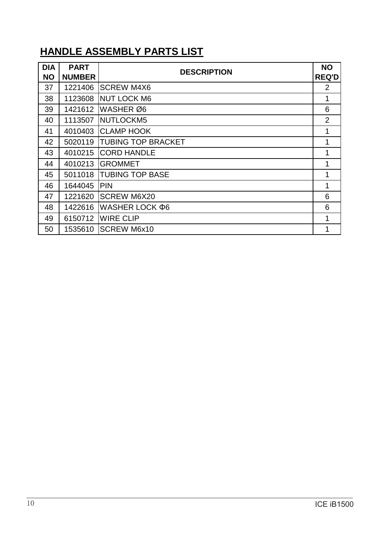# **HANDLE ASSEMBLY PARTS LIST**

| <b>DIA</b><br><b>NO</b> | <b>PART</b><br><b>NUMBER</b> | <b>DESCRIPTION</b>        | <b>NO</b><br><b>REQ'D</b> |
|-------------------------|------------------------------|---------------------------|---------------------------|
| 37                      | 1221406                      | <b>SCREW M4X6</b>         | 2                         |
| 38                      | 1123608                      | <b>NUT LOCK M6</b>        | 1                         |
| 39                      | 1421612                      | WASHER Ø6                 | 6                         |
| 40                      | 1113507                      | NUTLOCKM5                 | $\overline{2}$            |
| 41                      | 4010403                      | <b>CLAMP HOOK</b>         | 1                         |
| 42                      | 5020119                      | <b>TUBING TOP BRACKET</b> | 1                         |
| 43                      | 4010215                      | <b>CORD HANDLE</b>        | 1                         |
| 44                      | 4010213                      | <b>GROMMET</b>            | 1                         |
| 45                      | 5011018                      | <b>TUBING TOP BASE</b>    | 1                         |
| 46                      | 1644045                      | <b>PIN</b>                | 1                         |
| 47                      | 1221620                      | <b>SCREW M6X20</b>        | 6                         |
| 48                      | 1422616                      | WASHER LOCK Ф6            | 6                         |
| 49                      | 6150712                      | <b>WIRE CLIP</b>          | 1                         |
| 50                      | 1535610                      | <b>SCREW M6x10</b>        |                           |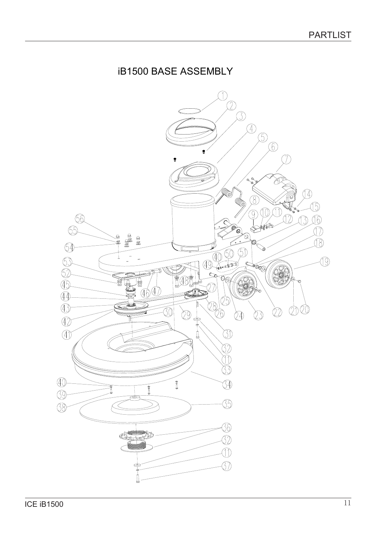# **iB1500 BASE ASSEMBLY**

![](_page_10_Picture_2.jpeg)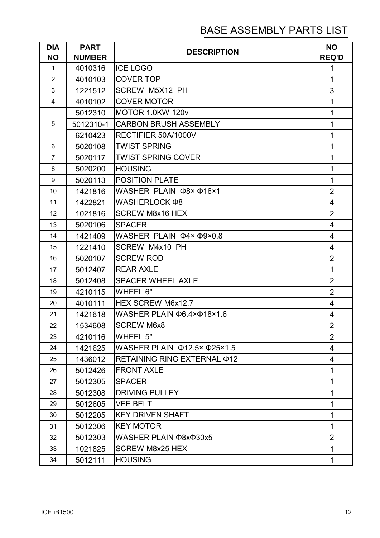# BASE ASSEMBLY PARTS LIST

| <b>DIA</b><br><b>NO</b> | <b>PART</b><br><b>NUMBER</b> | <b>DESCRIPTION</b>                      | <b>NO</b><br><b>REQ'D</b> |
|-------------------------|------------------------------|-----------------------------------------|---------------------------|
| $\mathbf{1}$            | 4010316                      | <b>ICE LOGO</b>                         | 1                         |
| $\overline{2}$          | 4010103                      | <b>COVER TOP</b>                        | $\mathbf{1}$              |
| 3                       | 1221512                      | SCREW M5X12 PH                          | 3                         |
| $\overline{4}$          | 4010102                      | <b>COVER MOTOR</b>                      | $\mathbf{1}$              |
|                         | 5012310                      | MOTOR 1.0KW 120v                        | $\mathbf 1$               |
| 5                       | 5012310-1                    | <b>CARBON BRUSH ASSEMBLY</b>            | $\mathbf{1}$              |
|                         | 6210423                      | RECTIFIER 50A/1000V                     | $\mathbf 1$               |
| 6                       | 5020108                      | <b>TWIST SPRING</b>                     | $\mathbf 1$               |
| $\overline{7}$          | 5020117                      | <b>TWIST SPRING COVER</b>               | $\mathbf{1}$              |
| 8                       | 5020200                      | <b>HOUSING</b>                          | $\mathbf{1}$              |
| 9                       | 5020113                      | <b>POSITION PLATE</b>                   | $\mathbf{1}$              |
| 10                      | 1421816                      | WASHER PLAIN $\Phi$ 8× $\Phi$ 16×1      | $\overline{2}$            |
| 11                      | 1422821                      | WASHERLOCK Ф8                           | $\overline{4}$            |
| 12                      | 1021816                      | <b>SCREW M8x16 HEX</b>                  | $\overline{2}$            |
| 13                      | 5020106                      | <b>SPACER</b>                           | 4                         |
| 14                      | 1421409                      | WASHER PLAIN $\Phi$ 4× $\Phi$ 9×0.8     | 4                         |
| 15                      | 1221410                      | SCREW M4x10 PH                          | 4                         |
| 16                      | 5020107                      | <b>SCREW ROD</b>                        | $\overline{2}$            |
| 17                      | 5012407                      | <b>REAR AXLE</b>                        | $\mathbf{1}$              |
| 18                      | 5012408                      | <b>SPACER WHEEL AXLE</b>                | $\overline{2}$            |
| 19                      | 4210115                      | WHEEL 6"                                | $\overline{2}$            |
| 20                      | 4010111                      | HEX SCREW M6x12.7                       | 4                         |
| 21                      | 1421618                      | WASHER PLAIN Ф6.4×Ф18×1.6               | 4                         |
| 22                      | 1534608                      | <b>SCREW M6x8</b>                       | $\overline{2}$            |
| 23                      | 4210116                      | <b>WHEEL 5"</b>                         | $\overline{2}$            |
| 24                      | 1421625                      | WASHER PLAIN $\Phi$ 12.5× $\Phi$ 25×1.5 | $\overline{4}$            |
| 25                      | 1436012                      | RETAINING RING EXTERNAL $\Phi$ 12       | 4                         |
| 26                      | 5012426                      | <b>FRONT AXLE</b>                       | $\mathbf{1}$              |
| 27                      | 5012305                      | <b>SPACER</b>                           | $\mathbf{1}$              |
| 28                      | 5012308                      | <b>DRIVING PULLEY</b>                   | $\mathbf{1}$              |
| 29                      | 5012605                      | <b>VEE BELT</b>                         | $\mathbf{1}$              |
| 30                      | 5012205                      | <b>KEY DRIVEN SHAFT</b>                 | $\mathbf{1}$              |
| 31                      | 5012306                      | <b>KEY MOTOR</b>                        | $\mathbf{1}$              |
| 32                      | 5012303                      | WASHER PLAIN @8x@30x5                   | $\overline{2}$            |
| 33                      | 1021825                      | <b>SCREW M8x25 HEX</b>                  | $\mathbf{1}$              |
| 34                      | 5012111                      | <b>HOUSING</b>                          | $\mathbf 1$               |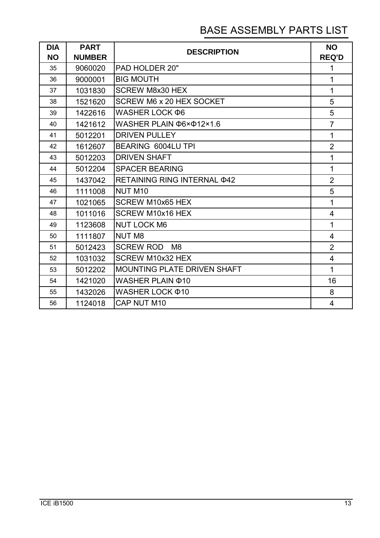# BASE ASSEMBLY PARTS LIST

| <b>DIA</b><br><b>NO</b> | <b>PART</b><br><b>NUMBER</b> | <b>DESCRIPTION</b>                   | <b>NO</b><br><b>REQ'D</b> |
|-------------------------|------------------------------|--------------------------------------|---------------------------|
| 35                      | 9060020                      | <b>PAD HOLDER 20"</b>                | 1                         |
| 36                      | 9000001                      | <b>BIG MOUTH</b>                     | $\mathbf 1$               |
| 37                      | 1031830                      | <b>SCREW M8x30 HEX</b>               | $\mathbf 1$               |
| 38                      | 1521620                      | SCREW M6 x 20 HEX SOCKET             | 5                         |
| 39                      | 1422616                      | WASHER LOCK $\Phi$ 6                 | 5                         |
| 40                      | 1421612                      | WASHER PLAIN $\Phi$ 6× $\Phi$ 12×1.6 | $\overline{7}$            |
| 41                      | 5012201                      | <b>DRIVEN PULLEY</b>                 | $\mathbf{1}$              |
| 42                      | 1612607                      | BEARING 6004LU TPI                   | $\overline{2}$            |
| 43                      | 5012203                      | <b>DRIVEN SHAFT</b>                  | 1                         |
| 44                      | 5012204                      | <b>SPACER BEARING</b>                | $\mathbf 1$               |
| 45                      | 1437042                      | RETAINING RING INTERNAL \$42         | $\overline{2}$            |
| 46                      | 1111008                      | <b>NUT M10</b>                       | 5                         |
| 47                      | 1021065                      | <b>SCREW M10x65 HEX</b>              | 1                         |
| 48                      | 1011016                      | <b>SCREW M10x16 HEX</b>              | 4                         |
| 49                      | 1123608                      | <b>NUT LOCK M6</b>                   | $\mathbf 1$               |
| 50                      | 1111807                      | <b>NUT M8</b>                        | 4                         |
| 51                      | 5012423                      | <b>SCREW ROD</b><br>M <sub>8</sub>   | $\overline{2}$            |
| 52                      | 1031032                      | SCREW M10x32 HEX                     | $\overline{4}$            |
| 53                      | 5012202                      | <b>MOUNTING PLATE DRIVEN SHAFT</b>   | $\mathbf{1}$              |
| 54                      | 1421020                      | WASHER PLAIN $\Phi$ 10               | 16                        |
| 55                      | 1432026                      | WASHER LOCK $\Phi$ 10                | 8                         |
| 56                      | 1124018                      | CAP NUT M10                          | 4                         |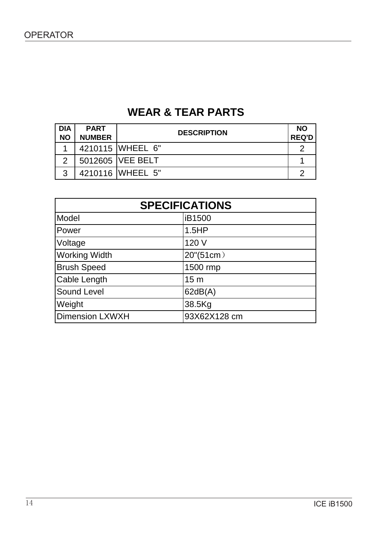# **WEAR & TEAR PARTS**

| <b>DIA</b><br><b>NO</b> | <b>PART</b><br><b>NUMBER</b> | <b>DESCRIPTION</b> | <b>NO</b><br><b>REQ'D</b> |
|-------------------------|------------------------------|--------------------|---------------------------|
|                         |                              | 4210115 WHEEL 6"   |                           |
|                         |                              | 5012605   VEE BELT |                           |
| ્ર                      |                              | 4210116 WHEEL 5"   |                           |

| <b>SPECIFICATIONS</b>  |                 |  |
|------------------------|-----------------|--|
| Model                  | iB1500          |  |
| Power                  | 1.5HP           |  |
| Voltage                | 120 V           |  |
| <b>Working Width</b>   | 20"(51cm)       |  |
| <b>Brush Speed</b>     | 1500 rmp        |  |
| Cable Length           | 15 <sub>m</sub> |  |
| <b>Sound Level</b>     | 62dB(A)         |  |
| Weight                 | 38.5Kg          |  |
| <b>Dimension LXWXH</b> | 93X62X128 cm    |  |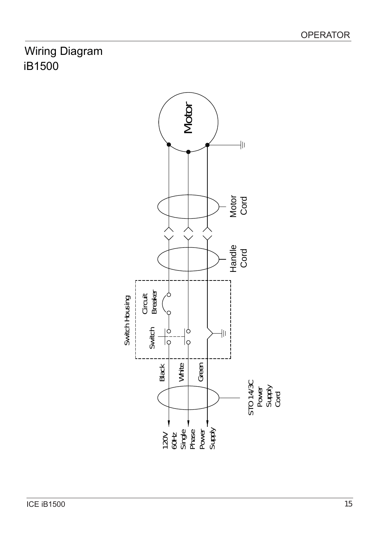# Wiring Diagram iB1500

![](_page_14_Figure_2.jpeg)